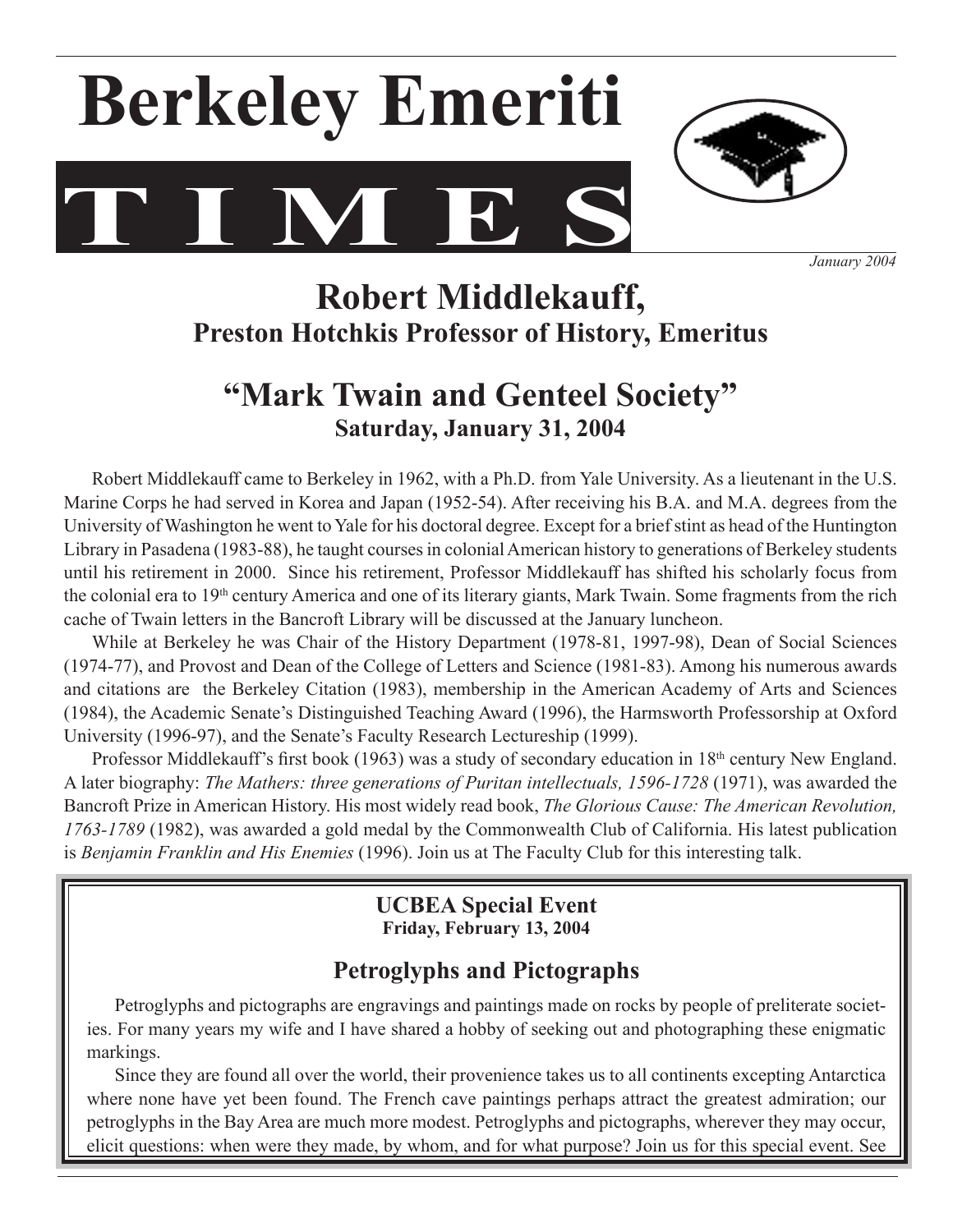# **T I M E S Berkeley Emeriti**



 *January 2004*

# **Robert Middlekauff, Preston Hotchkis Professor of History, Emeritus**

# **"Mark Twain and Genteel Society" Saturday, January 31, 2004**

Robert Middlekauff came to Berkeley in 1962, with a Ph.D. from Yale University. As a lieutenant in the U.S. Marine Corps he had served in Korea and Japan (1952-54). After receiving his B.A. and M.A. degrees from the University of Washington he went to Yale for his doctoral degree. Except for a brief stint as head of the Huntington Library in Pasadena (1983-88), he taught courses in colonial American history to generations of Berkeley students until his retirement in 2000. Since his retirement, Professor Middlekauff has shifted his scholarly focus from the colonial era to 19<sup>th</sup> century America and one of its literary giants, Mark Twain. Some fragments from the rich cache of Twain letters in the Bancroft Library will be discussed at the January luncheon.

 While at Berkeley he was Chair of the History Department (1978-81, 1997-98), Dean of Social Sciences (1974-77), and Provost and Dean of the College of Letters and Science (1981-83). Among his numerous awards and citations are the Berkeley Citation (1983), membership in the American Academy of Arts and Sciences (1984), the Academic Senate's Distinguished Teaching Award (1996), the Harmsworth Professorship at Oxford University (1996-97), and the Senate's Faculty Research Lectureship (1999).

Professor Middlekauff's first book (1963) was a study of secondary education in 18<sup>th</sup> century New England. A later biography: *The Mathers: three generations of Puritan intellectuals, 1596-1728* (1971), was awarded the Bancroft Prize in American History. His most widely read book, *The Glorious Cause: The American Revolution, 1763-1789* (1982), was awarded a gold medal by the Commonwealth Club of California. His latest publication is *Benjamin Franklin and His Enemies* (1996). Join us at The Faculty Club for this interesting talk.

# **UCBEA Special Event Friday, February 13, 2004**

# **Petroglyphs and Pictographs**

Petroglyphs and pictographs are engravings and paintings made on rocks by people of preliterate societies. For many years my wife and I have shared a hobby of seeking out and photographing these enigmatic markings.

 Since they are found all over the world, their provenience takes us to all continents excepting Antarctica where none have yet been found. The French cave paintings perhaps attract the greatest admiration; our petroglyphs in the Bay Area are much more modest. Petroglyphs and pictographs, wherever they may occur, elicit questions: when were they made, by whom, and for what purpose? Join us for this special event. See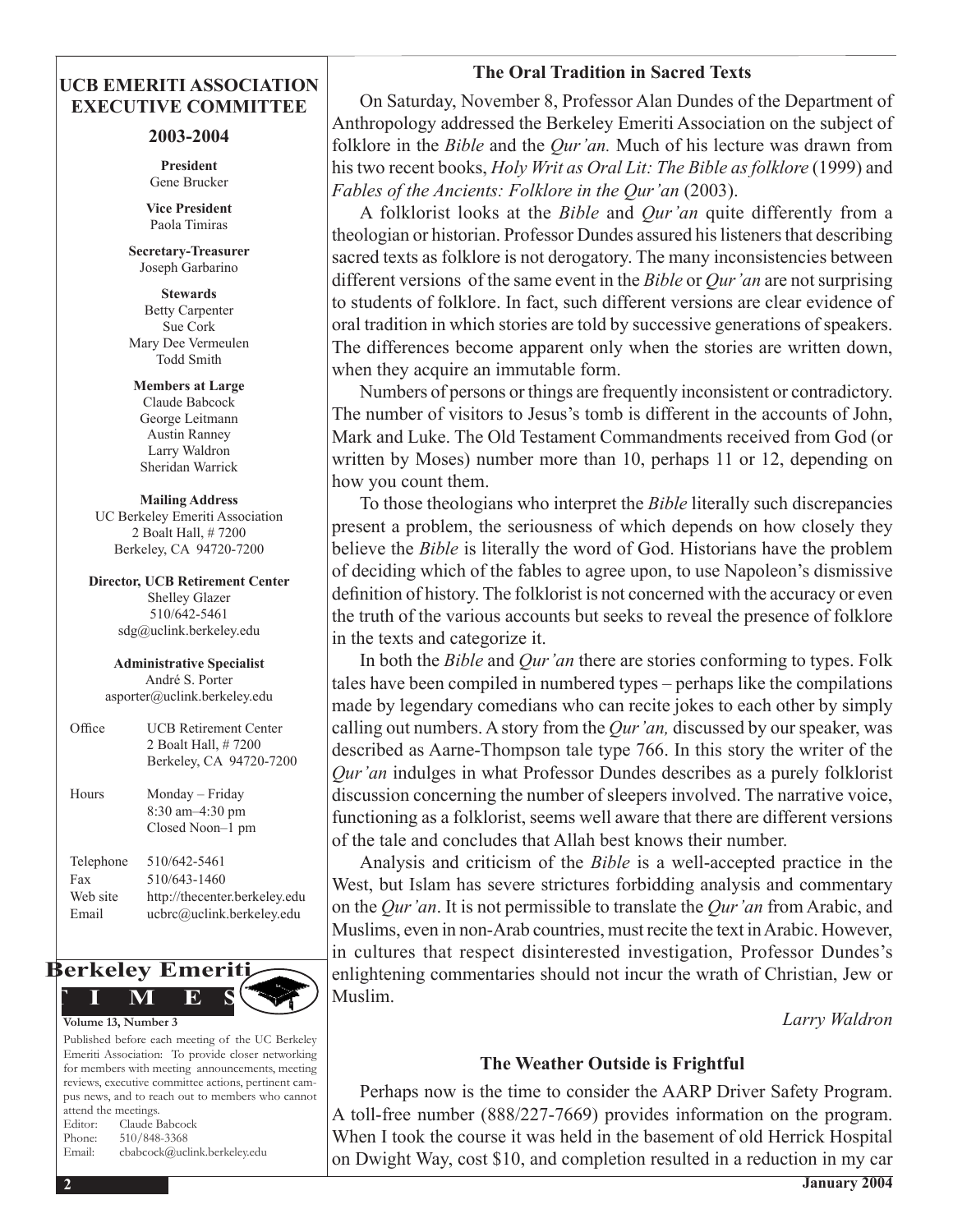### **The Oral Tradition in Sacred Texts**

## **UCB EMERITI ASSOCIATION EXECUTIVE COMMITTEE**

### **2003-2004**

**President** Gene Brucker

**Vice President** Paola Timiras

**Secretary-Treasurer**  Joseph Garbarino

**Stewards** Betty Carpenter Sue Cork Mary Dee Vermeulen Todd Smith

**Members at Large** Claude Babcock George Leitmann Austin Ranney Larry Waldron Sheridan Warrick

**Mailing Address** UC Berkeley Emeriti Association 2 Boalt Hall, # 7200 Berkeley, CA 94720-7200

**Director, UCB Retirement Center** Shelley Glazer 510/642-5461 sdg@uclink.berkeley.edu

**Administrative Specialist** André S. Porter asporter@uclink.berkeley.edu

| Office                                | <b>UCB Retirement Center</b><br>2 Boalt Hall, #7200<br>Berkeley, CA 94720-7200             |
|---------------------------------------|--------------------------------------------------------------------------------------------|
| Hours                                 | Monday – Friday<br>$8:30$ am $-4:30$ pm<br>Closed Noon-1 pm                                |
| Telephone<br>Fax<br>Web site<br>Email | 510/642-5461<br>510/643-1460<br>http://thecenter.berkeley.edu<br>ucbrc@uclink.berkeley.edu |



Published before each meeting of the UC Berkeley Emeriti Association: To provide closer networking for members with meeting announcements, meeting reviews, executive committee actions, pertinent campus news, and to reach out to members who cannot attend the meetings. Editor: Claude Babcock Phone: 510/848-3368 Email: cbabcock@uclink.berkeley.edu

 On Saturday, November 8, Professor Alan Dundes of the Department of Anthropology addressed the Berkeley Emeriti Association on the subject of folklore in the *Bible* and the *Qur'an.* Much of his lecture was drawn from his two recent books, *Holy Writ as Oral Lit: The Bible as folklore* (1999) and *Fables of the Ancients: Folklore in the Qur'an* (2003).

 A folklorist looks at the *Bible* and *Qur'an* quite differently from a theologian or historian. Professor Dundes assured his listeners that describing sacred texts as folklore is not derogatory. The many inconsistencies between different versions of the same event in the *Bible* or *Qur'an* are notsurprising to students of folklore. In fact, such different versions are clear evidence of oral tradition in which stories are told by successive generations of speakers. The differences become apparent only when the stories are written down, when they acquire an immutable form.

 Numbers of persons or things are frequently inconsistent or contradictory. The number of visitors to Jesus's tomb is different in the accounts of John, Mark and Luke. The Old Testament Commandments received from God (or written by Moses) number more than 10, perhaps 11 or 12, depending on how you count them.

 To those theologians who interpret the *Bible* literally such discrepancies present a problem, the seriousness of which depends on how closely they believe the *Bible* is literally the word of God. Historians have the problem of deciding which of the fables to agree upon, to use Napoleon's dismissive definition of history. The folklorist is not concerned with the accuracy or even the truth of the various accounts but seeks to reveal the presence of folklore in the texts and categorize it.

 In both the *Bible* and *Qur'an* there are stories conforming to types. Folk tales have been compiled in numbered types – perhaps like the compilations made by legendary comedians who can recite jokes to each other by simply calling out numbers.Astory from the *Qur'an,* discussed by our speaker, was described as Aarne-Thompson tale type 766. In this story the writer of the *Qur'an* indulges in what Professor Dundes describes as a purely folklorist discussion concerning the number of sleepers involved. The narrative voice, functioning as a folklorist, seems well aware that there are different versions of the tale and concludes that Allah best knows their number.

 Analysis and criticism of the *Bible* is a well-accepted practice in the West, but Islam has severe strictures forbidding analysis and commentary on the *Qur'an*. It is not permissible to translate the *Qur'an* from Arabic, and Muslims, even in non-Arab countries, must recite the text inArabic. However, in cultures that respect disinterested investigation, Professor Dundes's enlightening commentaries should not incur the wrath of Christian, Jew or Muslim.

 *Larry Waldron*

### **The Weather Outside is Frightful**

 Perhaps now is the time to consider the AARP Driver Safety Program. A toll-free number (888/227-7669) provides information on the program. When I took the course it was held in the basement of old Herrick Hospital on Dwight Way, cost \$10, and completion resulted in a reduction in my car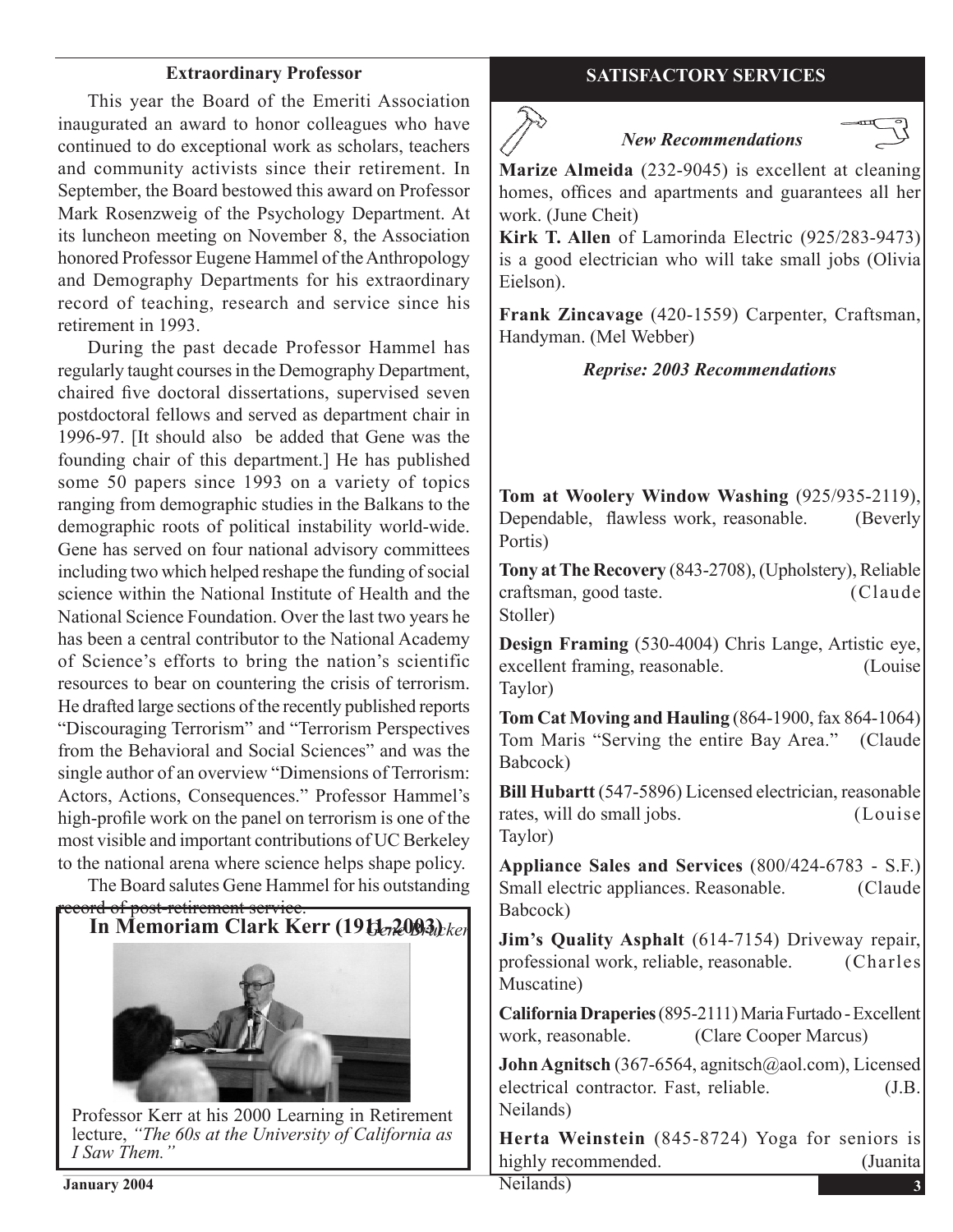This year the Board of the Emeriti Association inaugurated an award to honor colleagues who have continued to do exceptional work as scholars, teachers and community activists since their retirement. In September, the Board bestowed this award on Professor Mark Rosenzweig of the Psychology Department. At its luncheon meeting on November 8, the Association honored Professor Eugene Hammel of the Anthropology and Demography Departments for his extraordinary record of teaching, research and service since his retirement in 1993.

 During the past decade Professor Hammel has regularly taught coursesin the Demography Department, chaired five doctoral dissertations, supervised seven postdoctoral fellows and served as department chair in 1996-97. [It should also be added that Gene was the founding chair of this department.] He has published some 50 papers since 1993 on a variety of topics ranging from demographic studies in the Balkans to the demographic roots of political instability world-wide. Gene has served on four national advisory committees including two which helped reshape the funding of social science within the National Institute of Health and the National Science Foundation. Over the last two years he has been a central contributor to the National Academy of Science's efforts to bring the nation's scientific resources to bear on countering the crisis of terrorism. He drafted large sections of the recently published reports "Discouraging Terrorism" and "Terrorism Perspectives from the Behavioral and Social Sciences" and was the single author of an overview "Dimensions of Terrorism: Actors, Actions, Consequences." Professor Hammel's high-profile work on the panel on terrorism is one of the most visible and important contributions of UC Berkeley to the national arena where science helps shape policy.

 The Board salutes Gene Hammel for his outstanding



lecture, *"The 60s at the University of California as I Saw Them."*

# **Extraordinary Professor SATISFACTORY SERVICES**

# *New Recommendations*



**Marize Almeida** (232-9045) is excellent at cleaning homes, offices and apartments and guarantees all her work. (June Cheit)

**Kirk T. Allen** of Lamorinda Electric (925/283-9473) is a good electrician who will take small jobs (Olivia Eielson).

**Frank Zincavage** (420-1559) Carpenter, Craftsman, Handyman. (Mel Webber)

*Reprise: 2003 Recommendations*

**Tom at Woolery Window Washing** (925/935-2119), Dependable, flawless work, reasonable. (Beverly Portis)

**Tony at The Recovery** (843-2708), (Upholstery), Reliable craftsman, good taste. (Claude Stoller)

**Design Framing** (530-4004) Chris Lange, Artistic eye, excellent framing, reasonable. (Louise Taylor)

**Tom Cat Moving and Hauling** (864-1900, fax 864-1064) Tom Maris "Serving the entire Bay Area." (Claude Babcock)

**Bill Hubartt** (547-5896) Licensed electrician, reasonable rates, will do small jobs. (Louise Taylor)

**Appliance Sales and Services** (800/424-6783 - S.F.) Small electric appliances. Reasonable. (Claude Babcock)

**Jim's Quality Asphalt** (614-7154) Driveway repair, professional work, reliable, reasonable. (Charles Muscatine)

**California Draperies** (895-2111) Maria Furtado - Excellent work, reasonable. (Clare Cooper Marcus)

**John Agnitsch** (367-6564, agnitsch@aol.com), Licensed electrical contractor. Fast, reliable. (J.B. Neilands)

**Herta Weinstein** (845-8724) Yoga for seniors is highly recommended. (Juanita